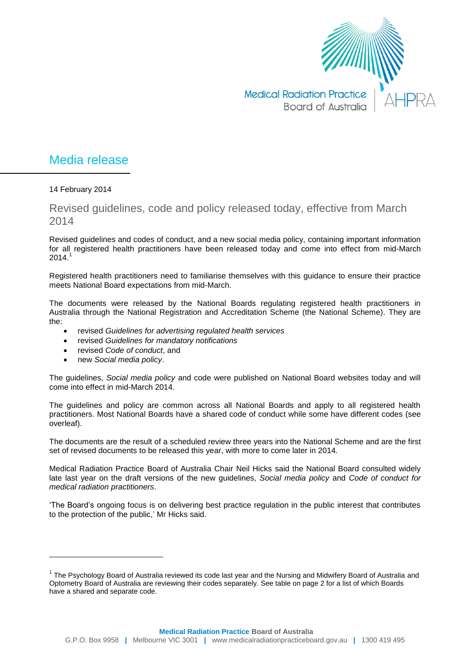

## Media release

14 February 2014

Revised guidelines, code and policy released today, effective from March 2014

Revised guidelines and codes of conduct, and a new social media policy, containing important information for all registered health practitioners have been released today and come into effect from mid-March  $2014.1$ 

Registered health practitioners need to familiarise themselves with this guidance to ensure their practice meets National Board expectations from mid-March.

The documents were released by the National Boards regulating registered health practitioners in Australia through the National Registration and Accreditation Scheme (the National Scheme). They are the:

- revised *Guidelines for advertising regulated health services*
- revised *Guidelines for mandatory notifications*
- revised *Code of conduct*, and
- new *Social media policy*.

 $\overline{a}$ 

The guidelines, *Social media policy* and code were published on National Board websites today and will come into effect in mid-March 2014.

The guidelines and policy are common across all National Boards and apply to all registered health practitioners. Most National Boards have a shared code of conduct while some have different codes (see overleaf).

The documents are the result of a scheduled review three years into the National Scheme and are the first set of revised documents to be released this year, with more to come later in 2014.

Medical Radiation Practice Board of Australia Chair Neil Hicks said the National Board consulted widely late last year on the draft versions of the new guidelines, *Social media policy* and *Code of conduct for medical radiation practitioners*.

'The Board's ongoing focus is on delivering best practice regulation in the public interest that contributes to the protection of the public,' Mr Hicks said.

<sup>&</sup>lt;sup>1</sup> The Psychology Board of Australia reviewed its code last year and the Nursing and Midwifery Board of Australia and Optometry Board of Australia are reviewing their codes separately. See table on page 2 for a list of which Boards have a shared and separate code.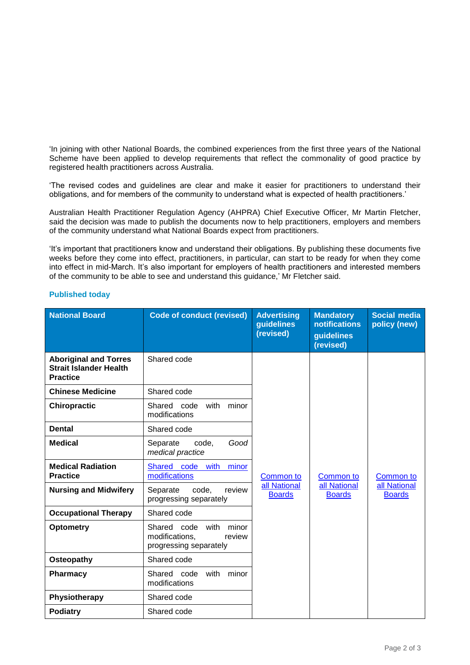'In joining with other National Boards, the combined experiences from the first three years of the National Scheme have been applied to develop requirements that reflect the commonality of good practice by registered health practitioners across Australia.

'The revised codes and guidelines are clear and make it easier for practitioners to understand their obligations, and for members of the community to understand what is expected of health practitioners.'

Australian Health Practitioner Regulation Agency (AHPRA) Chief Executive Officer, Mr Martin Fletcher, said the decision was made to publish the documents now to help practitioners, employers and members of the community understand what National Boards expect from practitioners.

'It's important that practitioners know and understand their obligations. By publishing these documents five weeks before they come into effect, practitioners, in particular, can start to be ready for when they come into effect in mid-March. It's also important for employers of health practitioners and interested members of the community to be able to see and understand this guidance,' Mr Fletcher said.

| <b>National Board</b>                                                            | <b>Code of conduct (revised)</b>                                                   | <b>Advertising</b><br>guidelines<br>(revised) | <b>Mandatory</b><br>notifications<br>guidelines<br>(revised) | <b>Social media</b><br>policy (new)        |
|----------------------------------------------------------------------------------|------------------------------------------------------------------------------------|-----------------------------------------------|--------------------------------------------------------------|--------------------------------------------|
| <b>Aboriginal and Torres</b><br><b>Strait Islander Health</b><br><b>Practice</b> | Shared code                                                                        | Common to<br>all National<br><b>Boards</b>    | Common to<br>all National<br><b>Boards</b>                   | Common to<br>all National<br><b>Boards</b> |
| <b>Chinese Medicine</b>                                                          | Shared code                                                                        |                                               |                                                              |                                            |
| <b>Chiropractic</b>                                                              | Shared code<br>minor<br>with<br>modifications                                      |                                               |                                                              |                                            |
| <b>Dental</b>                                                                    | Shared code                                                                        |                                               |                                                              |                                            |
| <b>Medical</b>                                                                   | code,<br>Good<br>Separate<br>medical practice                                      |                                               |                                                              |                                            |
| <b>Medical Radiation</b><br><b>Practice</b>                                      | Shared code with<br>minor<br>modifications                                         |                                               |                                                              |                                            |
| <b>Nursing and Midwifery</b>                                                     | Separate<br>code,<br>review<br>progressing separately                              |                                               |                                                              |                                            |
| <b>Occupational Therapy</b>                                                      | Shared code                                                                        |                                               |                                                              |                                            |
| <b>Optometry</b>                                                                 | Shared code<br>with<br>minor<br>modifications,<br>review<br>progressing separately |                                               |                                                              |                                            |
| Osteopathy                                                                       | Shared code                                                                        |                                               |                                                              |                                            |
| Pharmacy                                                                         | Shared code<br>with<br>minor<br>modifications                                      |                                               |                                                              |                                            |
| Physiotherapy                                                                    | Shared code                                                                        |                                               |                                                              |                                            |
| <b>Podiatry</b>                                                                  | Shared code                                                                        |                                               |                                                              |                                            |

## **Published today**